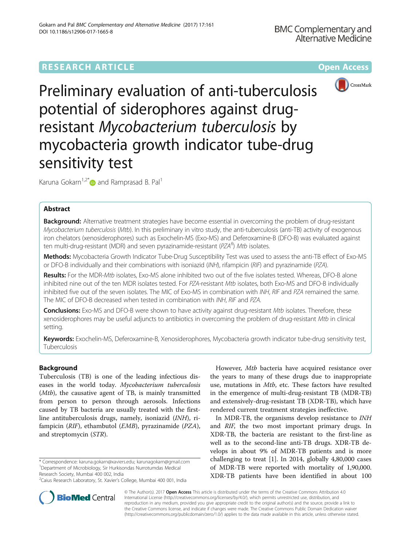# **RESEARCH ARTICLE External Structure Community Community Community Community Community Community Community Community**



Preliminary evaluation of anti-tuberculosis potential of siderophores against drugresistant Mycobacterium tuberculosis by mycobacteria growth indicator tube-drug sensitivity test

Karuna Gokarn<sup>1,2\*</sup> and Ramprasad B. Pal<sup>1</sup>

# Abstract

Background: Alternative treatment strategies have become essential in overcoming the problem of drug-resistant Mycobacterium tuberculosis (Mtb). In this preliminary in vitro study, the anti-tuberculosis (anti-TB) activity of exogenous iron chelators (xenosiderophores) such as Exochelin-MS (Exo-MS) and Deferoxamine-B (DFO-B) was evaluated against ten multi-drug-resistant (MDR) and seven pyrazinamide-resistant (PZA<sup>K</sup>) Mtb isolates.<br>Metal selection best in General Helling and Denne General Historical Helling.

Methods: Mycobacteria Growth Indicator Tube-Drug Susceptibility Test was used to assess the anti-TB effect of Exo-MS or DFO-B individually and their combinations with isoniazid (INH), rifampicin (RIF) and pyrazinamide (PZA).

Results: For the MDR-Mtb isolates, Exo-MS alone inhibited two out of the five isolates tested. Whereas, DFO-B alone inhibited nine out of the ten MDR isolates tested. For PZA-resistant Mtb isolates, both Exo-MS and DFO-B individually inhibited five out of the seven isolates. The MIC of Exo-MS in combination with INH, RIF and PZA remained the same. The MIC of DFO-B decreased when tested in combination with INH, RIF and PZA.

Conclusions: Exo-MS and DFO-B were shown to have activity against drug-resistant Mtb isolates. Therefore, these xenosiderophores may be useful adjuncts to antibiotics in overcoming the problem of drug-resistant Mtb in clinical setting.

Keywords: Exochelin-MS, Deferoxamine-B, Xenosiderophores, Mycobacteria growth indicator tube-drug sensitivity test, Tuberculosis

# Background

Tuberculosis (TB) is one of the leading infectious diseases in the world today. Mycobacterium tuberculosis (Mtb), the causative agent of TB, is mainly transmitted from person to person through aerosols. Infections caused by TB bacteria are usually treated with the firstline antituberculosis drugs, namely, isoniazid (INH), rifampicin (RIF), ethambutol (EMB), pyrazinamide (PZA), and streptomycin (STR).

\* Correspondence: [karuna.gokarn@xaviers.edu;](mailto:karuna.gokarn@xaviers.edu) [karunagokarn@gmail.com](mailto:karunagokarn@gmail.com) <sup>1</sup> Department of Microbiology, Sir Hurkisondas Nurrotumdas Medical Research Society, Mumbai 400 002, India

<sup>2</sup>Caius Research Laboratory, St. Xavier's College, Mumbai 400 001, India

However, Mtb bacteria have acquired resistance over the years to many of these drugs due to inappropriate use, mutations in *Mtb*, etc. These factors have resulted in the emergence of multi-drug-resistant TB (MDR-TB) and extensively-drug-resistant TB (XDR-TB), which have rendered current treatment strategies ineffective.

In MDR-TB, the organisms develop resistance to INH and RIF, the two most important primary drugs. In XDR-TB, the bacteria are resistant to the first-line as well as to the second-line anti-TB drugs. XDR-TB develops in about 9% of MDR-TB patients and is more challenging to treat [[1\]](#page-6-0). In 2014, globally 4,80,000 cases of MDR-TB were reported with mortality of 1,90,000. XDR-TB patients have been identified in about 100



© The Author(s). 2017 **Open Access** This article is distributed under the terms of the Creative Commons Attribution 4.0 International License [\(http://creativecommons.org/licenses/by/4.0/](http://creativecommons.org/licenses/by/4.0/)), which permits unrestricted use, distribution, and reproduction in any medium, provided you give appropriate credit to the original author(s) and the source, provide a link to the Creative Commons license, and indicate if changes were made. The Creative Commons Public Domain Dedication waiver [\(http://creativecommons.org/publicdomain/zero/1.0/](http://creativecommons.org/publicdomain/zero/1.0/)) applies to the data made available in this article, unless otherwise stated.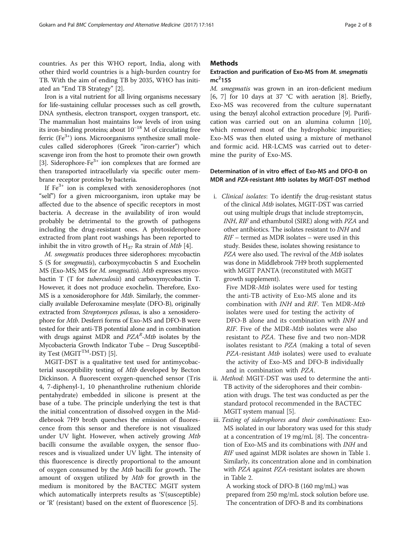countries. As per this WHO report, India, along with other third world countries is a high-burden country for TB. With the aim of ending TB by 2035, WHO has initiated an "End TB Strategy" [\[2](#page-6-0)].

Iron is a vital nutrient for all living organisms necessary for life-sustaining cellular processes such as cell growth, DNA synthesis, electron transport, oxygen transport, etc. The mammalian host maintains low levels of iron using its iron-binding proteins; about  $10^{-18}$  M of circulating free ferric ( $Fe^{3+}$ ) ions. Microorganisms synthesize small molecules called siderophores (Greek "iron-carrier") which scavenge iron from the host to promote their own growth [[3\]](#page-6-0). Siderophore-Fe<sup>3+</sup> ion complexes that are formed are then transported intracellularly via specific outer membrane receptor proteins by bacteria.

If  $Fe<sup>3+</sup>$  ion is complexed with xenosiderophores (not "self") for a given microorganism, iron uptake may be affected due to the absence of specific receptors in most bacteria. A decrease in the availability of iron would probably be detrimental to the growth of pathogens including the drug-resistant ones. A phytosiderophore extracted from plant root washings has been reported to inhibit the in vitro growth of  $H_{37}$  Ra strain of *Mtb* [\[4](#page-6-0)].

M. smegmatis produces three siderophores: mycobactin S (S for smegmatis), carboxymycobactin S and Exochelin MS (Exo-MS; MS for M. smegmatis). Mtb expresses mycobactin T (T for tuberculosis) and carboxymycobactin T. However, it does not produce exochelin. Therefore, Exo-MS is a xenosiderophore for Mtb. Similarly, the commercially available Deferoxamine mesylate (DFO-B), originally extracted from Streptomyces pilosus, is also a xenosiderophore for Mtb. Desferri forms of Exo-MS and DFO-B were tested for their anti-TB potential alone and in combination with drugs against MDR and *PZA<sup>k</sup>-Mtb* isolates by the<br>Mycobacteria Growth Indicator Tube - Drug Suscentibil-Mycobacteria Growth Indicator Tube – Drug Susceptibil-ity Test (MGIT<sup>TM</sup>-DST) [\[5\]](#page-6-0).

MGIT-DST is a qualitative test used for antimycobacterial susceptibility testing of Mtb developed by Becton Dickinson. A fluorescent oxygen-quenched sensor (Tris 4, 7-diphenyl-1, 10 phenanthroline ruthenium chloride pentahydrate) embedded in silicone is present at the base of a tube. The principle underlying the test is that the initial concentration of dissolved oxygen in the Middlebrook 7H9 broth quenches the emission of fluorescence from this sensor and therefore is not visualized under UV light. However, when actively growing Mtb bacilli consume the available oxygen, the sensor fluoresces and is visualized under UV light. The intensity of this fluorescence is directly proportional to the amount of oxygen consumed by the Mtb bacilli for growth. The amount of oxygen utilized by Mtb for growth in the medium is monitored by the BACTEC MGIT system which automatically interprets results as 'S'(susceptible) or 'R' (resistant) based on the extent of fluorescence [\[5](#page-6-0)].

### **Methods**

# Extraction and purification of Exo-MS from M. smegmatis  $mc<sup>2</sup>155$

M. smegmatis was grown in an iron-deficient medium [[6, 7\]](#page-6-0) for 10 days at 37 °C with aeration [\[8](#page-7-0)]. Briefly, Exo-MS was recovered from the culture supernatant using the benzyl alcohol extraction procedure [[9\]](#page-7-0). Purification was carried out on an alumina column [\[10](#page-7-0)], which removed most of the hydrophobic impurities; Exo-MS was then eluted using a mixture of methanol and formic acid. HR-LCMS was carried out to determine the purity of Exo-MS.

### Determination of in vitro effect of Exo-MS and DFO-B on MDR and PZA-resistant Mtb isolates by MGIT-DST method

i. Clinical isolates: To identify the drug-resistant status of the clinical Mtb isolates, MGIT-DST was carried out using multiple drugs that include streptomycin, INH, RIF and ethambutol (SIRE) along with PZA and other antibiotics. The isolates resistant to INH and RIF – termed as MDR isolates – were used in this study. Besides these, isolates showing resistance to PZA were also used. The revival of the Mtb isolates was done in Middlebrook 7H9 broth supplemented with MGIT PANTA (reconstituted with MGIT growth supplement).

Five MDR-Mtb isolates were used for testing the anti-TB activity of Exo-MS alone and its combination with INH and RIF. Ten MDR-Mtb isolates were used for testing the activity of DFO-B alone and its combination with INH and RIF. Five of the MDR-*Mtb* isolates were also resistant to PZA. These five and two non-MDR isolates resistant to PZA (making a total of seven PZA-resistant Mtb isolates) were used to evaluate the activity of Exo-MS and DFO-B individually and in combination with PZA.

- ii. Method: MGIT-DST was used to determine the anti-TB activity of the siderophores and their combination with drugs. The test was conducted as per the standard protocol recommended in the BACTEC MGIT system manual [\[5](#page-6-0)].
- iii. Testing of siderophores and their combinations: Exo-MS isolated in our laboratory was used for this study at a concentration of 19 mg/mL [[8\]](#page-7-0). The concentration of Exo-MS and its combinations with INH and RIF used against MDR isolates are shown in Table [1.](#page-2-0) Similarly, its concentration alone and in combination with PZA against PZA-resistant isolates are shown in Table [2](#page-2-0).

A working stock of DFO-B (160 mg/mL) was prepared from 250 mg/mL stock solution before use. The concentration of DFO-B and its combinations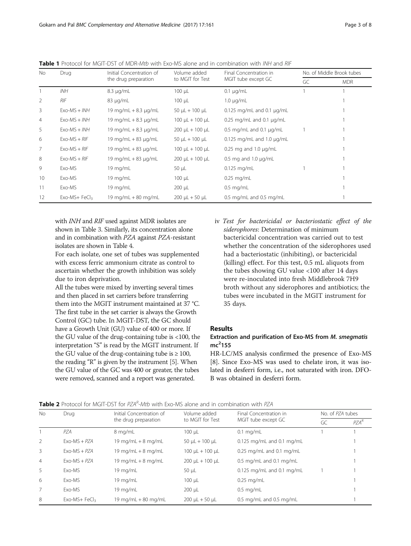| No             | Drug           | Initial Concentration of   | Volume added              | Final Concentration in             | No. of Middle Brook tubes |            |  |
|----------------|----------------|----------------------------|---------------------------|------------------------------------|---------------------------|------------|--|
|                |                | the drug preparation       | to MGIT for Test          | MGIT tube except GC                | GC                        | <b>MDR</b> |  |
|                | INH            | $8.3 \mu q/mL$             | $100 \mu L$               | $0.1 \mu q/mL$                     |                           |            |  |
| 2              | <b>RIF</b>     | $83 \mu q/mL$              | $100 \mu L$               | $1.0 \mu q/mL$                     |                           |            |  |
| 3              | $Exo-MS + INH$ | 19 mg/mL $+ 8.3$ µg/mL     | 50 $\mu$ L + 100 $\mu$ L  | $0.125$ mg/mL and $0.1$ $\mu$ g/mL |                           |            |  |
| $\overline{4}$ | $Exo-MS + INH$ | 19 mg/mL $+ 8.3$ µg/mL     | 100 $\mu$ L + 100 $\mu$ L | $0.25$ mg/mL and $0.1$ $\mu$ g/mL  |                           |            |  |
| 5              | $Exo-MS + INH$ | 19 mg/mL $+ 8.3$ µg/mL     | $200 \mu L + 100 \mu L$   | 0.5 mg/mL and 0.1 $\mu$ g/mL       |                           |            |  |
| 6              | $Exo-MS + RIF$ | 19 mg/mL $+$ 83 $\mu$ g/mL | $50 \mu L + 100 \mu L$    | $0.125$ mg/mL and 1.0 $\mu$ g/mL   |                           |            |  |
| $\overline{7}$ | $Exo-MS + RIF$ | 19 mg/mL $+$ 83 $\mu$ g/mL | 100 $\mu$ L + 100 $\mu$ L | 0.25 mg and 1.0 $\mu$ g/mL         |                           |            |  |
| 8              | $Exo-MS + RIF$ | 19 mg/mL $+$ 83 $\mu$ g/mL | $200 \mu L + 100 \mu L$   | 0.5 mg and 1.0 $\mu$ g/mL          |                           |            |  |
| 9              | Exo-MS         | $19 \text{ mg/mL}$         | $50 \mu L$                | $0.125$ mg/mL                      |                           |            |  |
| 10             | Exo-MS         | 19 mg/mL                   | $100 \mu L$               | $0.25$ mg/mL                       |                           |            |  |
| 11             | Exo-MS         | 19 mg/mL                   | $200 \mu L$               | $0.5$ mg/mL                        |                           |            |  |
| 12             | $Exo-MS+FeCl3$ | 19 mg/mL + 80 mg/mL        | $200 \mu L + 50 \mu L$    | 0.5 mg/mL and 0.5 mg/mL            |                           |            |  |

<span id="page-2-0"></span>Table 1 Protocol for MGIT-DST of MDR-Mtb with Exo-MS alone and in combination with INH and RIF

with *INH* and *RIF* used against MDR isolates are shown in Table [3.](#page-3-0) Similarly, its concentration alone and in combination with PZA against PZA-resistant isolates are shown in Table [4.](#page-3-0)

For each isolate, one set of tubes was supplemented with excess ferric ammonium citrate as control to ascertain whether the growth inhibition was solely due to iron deprivation.

All the tubes were mixed by inverting several times and then placed in set carriers before transferring them into the MGIT instrument maintained at 37 °C. The first tube in the set carrier is always the Growth Control (GC) tube. In MGIT-DST, the GC should have a Growth Unit (GU) value of 400 or more. If the GU value of the drug-containing tube is <100, the interpretation "S" is read by the MGIT instrument. If the GU value of the drug-containing tube is  $\geq 100$ , the reading "R" is given by the instrument [\[5\]](#page-6-0). When the GU value of the GC was 400 or greater, the tubes were removed, scanned and a report was generated.

iv Test for bactericidal or bacteriostatic effect of the siderophores: Determination of minimum bactericidal concentration was carried out to test whether the concentration of the siderophores used had a bacteriostatic (inhibiting), or bactericidal (killing) effect. For this test, 0.5 mL aliquots from the tubes showing GU value <100 after 14 days were re-inoculated into fresh Middlebrook 7H9 broth without any siderophores and antibiotics; the tubes were incubated in the MGIT instrument for 35 days.

# Results

# Extraction and purification of Exo-MS from M. smegmatis  $mc<sup>2</sup>155$

HR-LC/MS analysis confirmed the presence of Exo-MS [[8\]](#page-7-0). Since Exo-MS was used to chelate iron, it was isolated in desferri form, i.e., not saturated with iron. DFO-B was obtained in desferri form.

|          | <b>Table 2</b> Protocol for MGIT-DST for PZA <sup>R</sup> -Mtb with Exo-MS alone and in combination with PZA |  |  |  |  |  |  |
|----------|--------------------------------------------------------------------------------------------------------------|--|--|--|--|--|--|
| $\cdots$ |                                                                                                              |  |  |  |  |  |  |

| No.            | Drug           | Initial Concentration of | Volume added             | Final Concentration in        | No. of PZA tubes |         |  |
|----------------|----------------|--------------------------|--------------------------|-------------------------------|------------------|---------|--|
|                |                | the drug preparation     | to MGIT for Test         | MGIT tube except GC           | GC               | $PZA^R$ |  |
|                | PZA            | 8 mg/mL                  | $100 \mu L$              | $0.1$ mg/mL                   |                  |         |  |
| 2              | $Exo-MS + PZA$ | 19 mg/mL $+8$ mg/mL      | 50 $\mu$ L + 100 $\mu$ L | $0.125$ mg/mL and $0.1$ mg/mL |                  |         |  |
| 3              | $Exo-MS + PZA$ | 19 mg/mL $+$ 8 mg/mL     | $100 \mu L + 100 \mu L$  | $0.25$ mg/mL and $0.1$ mg/mL  |                  |         |  |
| $\overline{4}$ | $FxO-MS + PZA$ | 19 mg/mL $+8$ mg/mL      | $200 \mu L + 100 \mu L$  | 0.5 mg/mL and 0.1 mg/mL       |                  |         |  |
| 5              | Fxo-MS         | 19 mg/mL                 | $50 \mu L$               | $0.125$ mg/mL and $0.1$ mg/mL |                  |         |  |
| 6              | Fxo-MS         | 19 mg/mL                 | $100 \mu L$              | $0.25$ mg/mL                  |                  |         |  |
| 7              | Fxo-MS         | 19 mg/mL                 | 200 µL                   | $0.5$ mg/mL                   |                  |         |  |
| 8              | $Exo-MS+FeCl3$ | 19 mg/mL + 80 mg/mL      | $200 \mu L + 50 \mu L$   | $0.5$ mg/mL and $0.5$ mg/mL   |                  |         |  |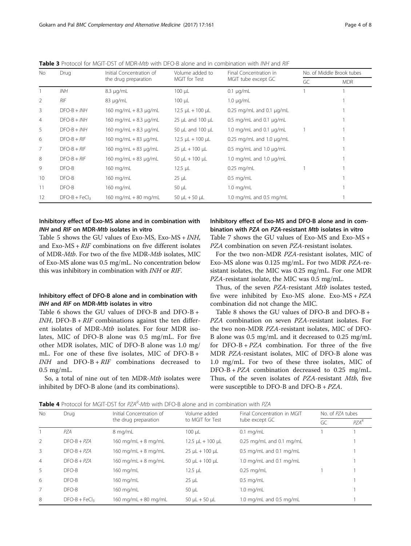| No.            | Drug            | Initial Concentration of   | Volume added to          | Final Concentration in            | No. of Middle Brook tubes |            |  |
|----------------|-----------------|----------------------------|--------------------------|-----------------------------------|---------------------------|------------|--|
|                |                 | the drug preparation       | MGIT for Test            | MGIT tube except GC               | GC                        | <b>MDR</b> |  |
|                | <b>INH</b>      | $8.3 \mu q/mL$             | $100 \mu L$              | $0.1 \mu q/mL$                    |                           |            |  |
| 2              | <b>RIF</b>      | $83 \mu q/mL$              | $100 \mu L$              | $1.0 \mu q/mL$                    |                           |            |  |
| 3              | $DFO-B + INH$   | 160 mg/mL + 8.3 $\mu$ g/mL | $12.5 \mu L + 100 \mu L$ | $0.25$ mg/mL and $0.1$ $\mu$ g/mL |                           |            |  |
| $\overline{4}$ | $DFO-B + INH$   | 160 mg/mL + $8.3 \mu$ g/mL | 25 µL and 100 µL         | 0.5 mg/mL and 0.1 $\mu$ g/mL      |                           |            |  |
| 5              | $DFO-B + INH$   | 160 mg/mL + $8.3 \mu$ g/mL | 50 µL and 100 µL         | 1.0 mg/mL and 0.1 $\mu$ g/mL      |                           |            |  |
| 6              | $DFO-B + RIF$   | 160 mg/mL + 83 $\mu$ g/mL  | $12.5 \mu L + 100 \mu L$ | 0.25 mg/mL and 1.0 $\mu$ g/mL     |                           |            |  |
| 7              | $DFO-B + RIF$   | 160 mg/mL + 83 µg/mL       | $25 \mu L + 100 \mu L$   | 0.5 mg/mL and 1.0 $\mu$ g/mL      |                           |            |  |
| 8              | $DFO-B + RIF$   | 160 mg/mL + 83 µg/mL       | 50 $\mu$ L + 100 $\mu$ L | 1.0 mg/mL and 1.0 $\mu$ g/mL      |                           |            |  |
| 9              | $DFO-B$         | $160$ mg/mL                | $12.5 \mu L$             | $0.25$ mg/mL                      |                           |            |  |
| 10             | $DFO-B$         | 160 mg/mL                  | $25 \mu L$               | $0.5$ mg/mL                       |                           |            |  |
| 11             | $DFO-B$         | 160 mg/mL                  | 50 µL                    | $1.0 \text{ mg/mL}$               |                           |            |  |
| 12             | $DFO-B + FeCl3$ | 160 mg/mL + 80 mg/mL       | 50 $\mu$ L + 50 $\mu$ L  | 1.0 mg/mL and 0.5 mg/mL           |                           |            |  |

<span id="page-3-0"></span>Table 3 Protocol for MGIT-DST of MDR-Mtb with DFO-B alone and in combination with INH and RIF

# Inhibitory effect of Exo-MS alone and in combination with INH and RIF on MDR-Mtb isolates in vitro

Table [5](#page-4-0) shows the GU values of Exo-MS, Exo-MS +  $INH$ , and Exo-MS +  $RIF$  combinations on five different isolates and Exo-MS + *RIF* combinations on five different isolates<br>of MDR-*Mth* For two of the five MDR-*Mth* isolates, MIC of MDR-*Mtb*. For two of the five MDR-*Mtb* isolates, MIC<br>of Exo-MS alone was 0.5 mg/mL. No concentration below of Exo-MS alone was 0.5 mg/mL. No concentration below this was inhibitory in combination with INH or RIF.

# Inhibitory effect of DFO-B alone and in combination with INH and RIF on MDR-Mtb isolates in vitro

Table [6](#page-4-0) shows the GU values of DFO-B and DFO-B +  $INH$ , DFO-B +  $RIF$  combinations against the ten different isolates of MDR-Mtb isolates. For four MDR isolates, MIC of DFO-B alone was 0.5 mg/mL. For five other MDR isolates, MIC of DFO-B alone was 1.0 mg/ mL. For one of these five isolates, MIC of DFO-B +  $INH$  and  $DFO-B + RIF$  combinations decreased to 0.5 mg/mL.

So, a total of nine out of ten MDR-Mtb isolates were inhibited by DFO-B alone (and its combinations).

# Inhibitory effect of Exo-MS and DFO-B alone and in combination with PZA on PZA-resistant Mtb isolates in vitro Table [7](#page-5-0) shows the GU values of Exo-MS and Exo-MS + PZA combination on seven PZA-resistant isolates.

For the two non-MDR PZA-resistant isolates, MIC of Exo-MS alone was 0.125 mg/mL. For two MDR PZA-resistant isolates, the MIC was 0.25 mg/mL. For one MDR PZA-resistant isolate, the MIC was 0.5 mg/mL.

Thus, of the seven PZA-resistant Mtb isolates tested, five were inhibited by Exo-MS alone. Exo-MS + PZA combination did not change the MIC.

Table [8](#page-5-0) shows the GU values of DFO-B and DFO-B + PZA combination on seven PZA-resistant isolates. For the two non-MDR PZA-resistant isolates, MIC of DFO-B alone was 0.5 mg/mL and it decreased to 0.25 mg/mL for  $DFO-B + PZA$  combination. For three of the five MDR PZA-resistant isolates, MIC of DFO-B alone was 1.0 mg/mL. For two of these three isolates, MIC of DFO-B + PZA combination decreased to 0.25 mg/mL. Thus, of the seven isolates of PZA-resistant Mtb, five were susceptible to DFO-B and DFO-B + PZA.

| No.            | Drug            | Initial Concentration of | Volume added             | Final Concentration in MGIT  | No. of PZA tubes |         |  |
|----------------|-----------------|--------------------------|--------------------------|------------------------------|------------------|---------|--|
|                |                 | the drug preparation     | to MGIT for Test         | tube except GC               | GC               | $PZA^R$ |  |
|                | PZA             | 8 mg/mL                  | $100 \mu L$              | $0.1$ mg/mL                  |                  |         |  |
| 2              | $DFO-B + PZA$   | 160 mg/mL + 8 mg/mL      | $12.5 \mu L + 100 \mu L$ | $0.25$ mg/mL and $0.1$ mg/mL |                  |         |  |
| 3              | $DFO-B + PZA$   | 160 mg/mL $+$ 8 mg/mL    | $25 \mu L + 100 \mu L$   | $0.5$ mg/mL and $0.1$ mg/mL  |                  |         |  |
| $\overline{4}$ | $DFO-B + PZA$   | 160 mg/mL $+8$ mg/mL     | $50 \mu L + 100 \mu L$   | 1.0 mg/mL and 0.1 mg/mL      |                  |         |  |
| 5              | $DFO-B$         | 160 mg/mL                | $12.5 \mu L$             | $0.25$ mg/mL                 |                  |         |  |
| 6              | $DFO-B$         | 160 mg/mL                | $25 \mu L$               | $0.5$ mg/mL                  |                  |         |  |
| 7              | $DFO-B$         | 160 mg/mL                | $50 \mu L$               | $1.0 \text{ mg/mL}$          |                  |         |  |
| 8              | $DFO-B + FeCl3$ | 160 mg/mL + 80 mg/mL     | 50 $\mu$ L + 50 $\mu$ L  | 1.0 mg/mL and 0.5 mg/mL      |                  |         |  |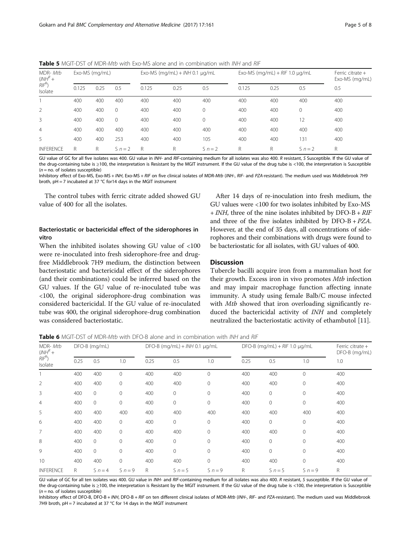<span id="page-4-0"></span>Table 5 MGIT-DST of MDR-Mtb with Exo-MS alone and in combination with INH and RIF

| MDR-Mtb<br>$\left(\frac{1}{N}\right)^R$ + |       | Exo-MS (mg/mL) |           |       | Exo-MS (mg/mL) + $INH$ 0.1 $\mu$ g/mL |           |       | Exo-MS (mg/mL) + $R$ IF 1.0 $\mu$ g/mL |           |                                                                                                                                                                        |  |
|-------------------------------------------|-------|----------------|-----------|-------|---------------------------------------|-----------|-------|----------------------------------------|-----------|------------------------------------------------------------------------------------------------------------------------------------------------------------------------|--|
| $R/F^R$<br>Isolate                        | 0.125 | 0.25           | 0.5       | 0.125 | 0.25                                  | 0.5       | 0.125 | 0.25                                   | 0.5       | 0.5                                                                                                                                                                    |  |
|                                           | 400   | 400            | 400       | 400   | 400                                   | 400       | 400   | 400                                    | 400       | 400                                                                                                                                                                    |  |
| 2                                         | 400   | 400            | $\Omega$  | 400   | 400                                   | $\Omega$  | 400   | 400                                    |           | 400                                                                                                                                                                    |  |
| 3                                         | 400   | 400            | $\Omega$  | 400   | 400                                   | $\Omega$  | 400   | 400                                    | 12        | 400                                                                                                                                                                    |  |
| $\overline{4}$                            | 400   | 400            | 400       | 400   | 400                                   | 400       | 400   | 400                                    | 400       | 400                                                                                                                                                                    |  |
| 5                                         | 400   | 400            | 253       | 400   | 400                                   | 105       | 400   | 400                                    | 131       | 400                                                                                                                                                                    |  |
| <b>INFERENCE</b>                          | R     | R              | $S_n = 2$ | R     | R                                     | $S_n = 2$ | R     | R                                      | $S_n = 2$ | R                                                                                                                                                                      |  |
|                                           |       |                |           |       |                                       |           |       |                                        |           | GU value of GC for all five isolates was 400. GU value in INH- and RIF-containing medium for all isolates was also 400. R resistant, S Susceptible. If the GU value of |  |

the drug-containing tube is ≥100, the interpretation is Resistant by the MGIT instrument. If the GU value of the drug tube is <100, the interpretation is Susceptible  $(n = no.$  of isolates susceptible)

Inhibitory effect of Exo-MS, Exo-MS + INH, Exo-MS + RIF on five clinical isolates of MDR-Mtb (INH-, RIF- and PZA-resistant). The medium used was Middlebrook 7H9 broth, pH = 7 incubated at 37 °C for14 days in the MGIT instrument

The control tubes with ferric citrate added showed GU value of 400 for all the isolates.

# Bacteriostatic or bactericidal effect of the siderophores in vitro

When the inhibited isolates showing GU value of <100 were re-inoculated into fresh siderophore-free and drugfree Middlebrook 7H9 medium, the distinction between bacteriostatic and bactericidal effect of the siderophores (and their combinations) could be inferred based on the GU values. If the GU value of re-inoculated tube was <100, the original siderophore-drug combination was considered bactericidal. If the GU value of re-inoculated tube was 400, the original siderophore-drug combination was considered bacteriostatic.

After 14 days of re-inoculation into fresh medium, the GU values were <100 for two isolates inhibited by Exo-MS <sup>+</sup> INH, three of the nine isolates inhibited by DFO-B + RIF and three of the five isolates inhibited by  $DFO-B + PZA$ . However, at the end of 35 days, all concentrations of siderophores and their combinations with drugs were found to be bacteriostatic for all isolates, with GU values of 400.

### **Discussion**

Tubercle bacilli acquire iron from a mammalian host for their growth. Excess iron in vivo promotes Mtb infection and may impair macrophage function affecting innate immunity. A study using female Balb/C mouse infected with *Mtb* showed that iron overloading significantly reduced the bactericidal activity of INH and completely neutralized the bacteriostatic activity of ethambutol [[11\]](#page-7-0).

**Table 6** MGIT-DST of MDR-Mtb with DFO-B alone and in combination with INH and RIF

| MDR-Mtb<br>$(NH^R +$<br>$RIF^R$<br>Isolate | DFO-B (mg/mL) |                |              |      | $DFO-B$ (mg/mL) + INH 0.1 $\mu$ g/mL |              |      | DFO-B (mg/mL) + $R$ IF 1.0 $\mu$ g/mL |              | Ferric citrate $+$<br>DFO-B (mg/mL)                                                                                                                                   |  |
|--------------------------------------------|---------------|----------------|--------------|------|--------------------------------------|--------------|------|---------------------------------------|--------------|-----------------------------------------------------------------------------------------------------------------------------------------------------------------------|--|
|                                            | 0.25          | 0.5            | 1.0          | 0.25 | 0.5                                  | 1.0          | 0.25 | 0.5                                   | 1.0          | 1.0                                                                                                                                                                   |  |
|                                            | 400           | 400            | 0            | 400  | 400                                  | $\mathbf{0}$ | 400  | 400                                   | $\mathbf{0}$ | 400                                                                                                                                                                   |  |
| $\overline{2}$                             | 400           | 400            | $\mathbf{0}$ | 400  | 400                                  | $\mathbf{0}$ | 400  | 400                                   | $\mathbf{0}$ | 400                                                                                                                                                                   |  |
| 3                                          | 400           | $\mathbf{0}$   | 0            | 400  | $\mathbf{0}$                         | $\mathbf 0$  | 400  | $\circ$                               | $\mathbf{0}$ | 400                                                                                                                                                                   |  |
| 4                                          | 400           | $\mathbf 0$    | $\mathbf{0}$ | 400  | $\mathbf{0}$                         | $\mathbf{0}$ | 400  | $\circ$                               | $\Omega$     | 400                                                                                                                                                                   |  |
| 5                                          | 400           | 400            | 400          | 400  | 400                                  | 400          | 400  | 400                                   | 400          | 400                                                                                                                                                                   |  |
| 6                                          | 400           | 400            | $\mathbf{0}$ | 400  | $\circ$                              | $\mathbf{0}$ | 400  | $\circ$                               | $\Omega$     | 400                                                                                                                                                                   |  |
| 7                                          | 400           | 400            | $\mathbf 0$  | 400  | 400                                  | $\mathbf{0}$ | 400  | 400                                   | 0            | 400                                                                                                                                                                   |  |
| 8                                          | 400           | $\circ$        | $\mathbf{0}$ | 400  | 0                                    | $\mathbf{0}$ | 400  | 0                                     | 0            | 400                                                                                                                                                                   |  |
| 9                                          | 400           | $\overline{0}$ | $\mathbf 0$  | 400  | $\mathbf 0$                          | $\mathbf{0}$ | 400  | $\overline{0}$                        | $\mathbf{0}$ | 400                                                                                                                                                                   |  |
| 10                                         | 400           | 400            | 0            | 400  | 400                                  | $\mathbf{0}$ | 400  | 400                                   | 0            | 400                                                                                                                                                                   |  |
| <b>INFERENCE</b>                           | R             | $S_n = 4$      | $S_n = 9$    | R    | $S_n = 5$                            | $S_n = 9$    | R    | $S_n = 5$                             | $S_n = 9$    | R                                                                                                                                                                     |  |
|                                            |               |                |              |      |                                      |              |      |                                       |              | GU value of GC for all ten isolates was 400. GU value in INH- and RIF-containing medium for all isolates was also 400. R resistant, S susceptible. If the GU value of |  |

the drug-containing tube is ≥100, the interpretation is Resistant by the MGIT instrument. If the GU value of the drug tube is <100, the interpretation is Susceptible  $(n = no.$  of isolates susceptible)

Inhibitory effect of DFO-B, DFO-B + INH, DFO-B + RIF on ten different clinical isolates of MDR-Mtb (INH-, RIF- and PZA-resistant). The medium used was Middlebrook 7H9 broth,  $pH = 7$  incubated at 37 °C for 14 days in the MGIT instrument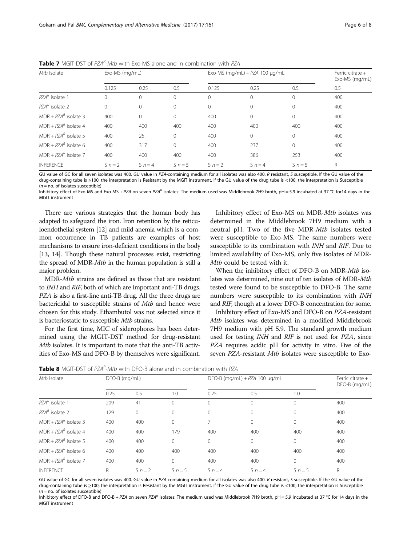| Mtb Isolate            | Exo-MS (mg/mL) |           |              | Exo-MS (mg/mL) + $PZA$ 100 $\mu$ g/mL | Ferric citrate $+$<br>Exo-MS (mg/mL) |           |     |
|------------------------|----------------|-----------|--------------|---------------------------------------|--------------------------------------|-----------|-----|
|                        | 0.125          | 0.25      | 0.5          | 0.125                                 | 0.25                                 | 0.5       | 0.5 |
| $PZAR$ isolate 1       | 0              |           | $\Omega$     | $\Omega$                              | $\Omega$                             |           | 400 |
| $PZAR$ isolate 2       | $\Omega$       |           | $\mathbf{0}$ | 0                                     | $\Omega$                             | $\Omega$  | 400 |
| $MDR + PZAR$ isolate 3 | 400            | $\Omega$  | 0            | 400                                   | $\Omega$                             | $\Omega$  | 400 |
| $MDR + PZAR$ isolate 4 | 400            | 400       | 400          | 400                                   | 400                                  | 400       | 400 |
| $MDR + PZAR$ isolate 5 | 400            | 25        | $\Omega$     | 400                                   | $\Omega$                             | $\Omega$  | 400 |
| $MDR + PZAR$ isolate 6 | 400            | 317       | $\Omega$     | 400                                   | 237                                  | $\Omega$  | 400 |
| $MDR + PZAR$ isolate 7 | 400            | 400       | 400          | 400                                   | 386                                  | 253       | 400 |
| <b>INFERENCE</b>       | $S_n = 2$      | $S_n = 4$ | $S_n = 5$    | $S_n = 2$                             | $S_n = 4$                            | $S_n = 5$ | R   |

<span id="page-5-0"></span>

drug-containing tube is ≥100, the interpretation is Resistant by the MGIT instrument. If the GU value of the drug tube is <100, the interpretation is Susceptible  $(n = no.$  of isolates susceptible)

Inhibitory effect of Exo-MS and Exo-MS + PZA on seven PZAR isolates: The medium used was Middlebrook 7H9 broth, pH = 5.9 incubated at 37 °C for14 days in the MGIT instrument

There are various strategies that the human body has adapted to safeguard the iron. Iron retention by the reticuloendothelial system [[12\]](#page-7-0) and mild anemia which is a common occurrence in TB patients are examples of host mechanisms to ensure iron-deficient conditions in the body [[13](#page-7-0), [14\]](#page-7-0). Though these natural processes exist, restricting the spread of MDR-Mtb in the human population is still a major problem.

MDR-Mtb strains are defined as those that are resistant to INH and RIF, both of which are important anti-TB drugs. PZA is also a first-line anti-TB drug. All the three drugs are bactericidal to susceptible strains of Mtb and hence were chosen for this study. Ethambutol was not selected since it is bacteriostatic to susceptible Mtb strains.

For the first time, MIC of siderophores has been determined using the MGIT-DST method for drug-resistant Mtb isolates. It is important to note that the anti-TB activities of Exo-MS and DFO-B by themselves were significant.

Inhibitory effect of Exo-MS on MDR-Mtb isolates was determined in the Middlebrook 7H9 medium with a neutral pH. Two of the five MDR-Mtb isolates tested were susceptible to Exo-MS. The same numbers were susceptible to its combination with INH and RIF. Due to limited availability of Exo-MS, only five isolates of MDR-Mtb could be tested with it.

When the inhibitory effect of DFO-B on MDR-Mtb isolates was determined, nine out of ten isolates of MDR-Mtb tested were found to be susceptible to DFO-B. The same numbers were susceptible to its combination with INH and RIF, though at a lower DFO-B concentration for some.

Inhibitory effect of Exo-MS and DFO-B on PZA-resistant Mtb isolates was determined in a modified Middlebrook 7H9 medium with pH 5.9. The standard growth medium used for testing INH and RIF is not used for PZA, since PZA requires acidic pH for activity in vitro. Five of the seven PZA-resistant Mtb isolates were susceptible to Exo-

| <b>Table 8</b> MGIT-DST of PZA <sup>n</sup> -Mtb with DFO-B alone and in combination with PZA |              |               |              |                                        |           |     |  |  |  |  |  |
|-----------------------------------------------------------------------------------------------|--------------|---------------|--------------|----------------------------------------|-----------|-----|--|--|--|--|--|
|                                                                                               |              |               |              | $DFO-B$ (mg/mL) + $PZA$ 100 $\mu$ g/mL |           |     |  |  |  |  |  |
| 0.25                                                                                          | 0.5          | 1.0           | 0.25         | 0.5                                    | 1.0       |     |  |  |  |  |  |
| 209                                                                                           | 41           | $\Omega$      | $\mathbf{0}$ | $\Omega$                               | $\Omega$  | 400 |  |  |  |  |  |
| 129                                                                                           | $\mathbf{0}$ | 0             | $\mathbf{0}$ | $\Omega$                               | $\Omega$  | 400 |  |  |  |  |  |
| 400                                                                                           | 400          | $\mathbf{0}$  | 7            | 0                                      | 0         | 400 |  |  |  |  |  |
| 400                                                                                           | 400          | 179           | 400          | 400                                    | 400       | 400 |  |  |  |  |  |
| 400                                                                                           | 400          | $\mathbf{0}$  | $\circ$      | $\Omega$                               | $\Omega$  | 400 |  |  |  |  |  |
| 400                                                                                           | 400          | 400           | 400          | 400                                    | 400       | 400 |  |  |  |  |  |
| 400                                                                                           | 400          | $\mathbf{0}$  | 400          | 400                                    | 0         | 400 |  |  |  |  |  |
| R                                                                                             | $S_n = 2$    | $S_n = 5$     | $S_n = 4$    | $S_n = 4$                              | $S_n = 5$ | R.  |  |  |  |  |  |
|                                                                                               |              | DFO-B (mg/mL) |              |                                        |           |     |  |  |  |  |  |

GU value of GC for all seven isolates was 400. GU value in PZA-containing medium for all isolates was also 400. R resistant, S susceptible. If the GU value of the drug-containing tube is ≥100, the interpretation is Resistant by the MGIT instrument. If the GU value of the drug tube is <100, the interpretation is Susceptible  $(n = no.$  of isolates susceptible)

Inhibitory effect of DFO-B and DFO-B + PZA on seven PZAR isolates: The medium used was Middlebrook 7H9 broth, pH = 5.9 incubated at 37 °C for 14 days in the MGIT instrument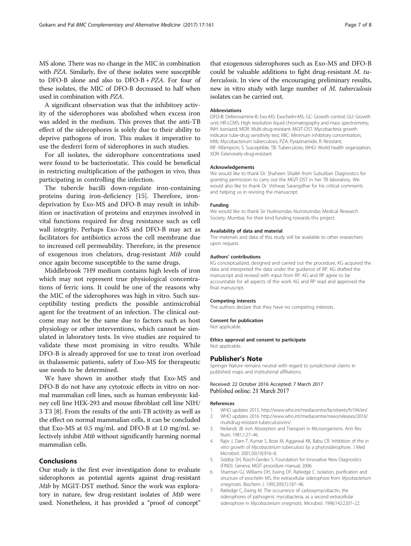<span id="page-6-0"></span>MS alone. There was no change in the MIC in combination with PZA. Similarly, five of these isolates were susceptible to DFO-B alone and also to DFO-B + PZA. For four of these isolates, the MIC of DFO-B decreased to half when used in combination with PZA.

A significant observation was that the inhibitory activity of the siderophores was abolished when excess iron was added in the medium. This proves that the anti-TB effect of the siderophores is solely due to their ability to deprive pathogens of iron. This makes it imperative to use the desferri form of siderophores in such studies.

For all isolates, the siderophore concentrations used were found to be bacteriostatic. This could be beneficial in restricting multiplication of the pathogen in vivo, thus participating in controlling the infection.

The tubercle bacilli down-regulate iron-containing proteins during iron-deficiency [[15\]](#page-7-0). Therefore, irondeprivation by Exo-MS and DFO-B may result in inhibition or inactivation of proteins and enzymes involved in vital functions required for drug resistance such as cell wall integrity. Perhaps Exo-MS and DFO-B may act as facilitators for antibiotics across the cell membrane due to increased cell permeability. Therefore, in the presence of exogenous iron chelators, drug-resistant Mtb could once again become susceptible to the same drugs.

Middlebrook 7H9 medium contains high levels of iron which may not represent true physiological concentrations of ferric ions. It could be one of the reasons why the MIC of the siderophores was high in vitro. Such susceptibility testing predicts the possible antimicrobial agent for the treatment of an infection. The clinical outcome may not be the same due to factors such as host physiology or other interventions, which cannot be simulated in laboratory tests. In vivo studies are required to validate these most promising in vitro results. While DFO-B is already approved for use to treat iron overload in thalassemic patients, safety of Exo-MS for therapeutic use needs to be determined.

We have shown in another study that Exo-MS and DFO-B do not have any cytotoxic effects in vitro on normal mammalian cell lines, such as human embryonic kidney cell line HEK-293 and mouse fibroblast cell line NIH/ 3 T3 [\[8](#page-7-0)]. From the results of the anti-TB activity as well as the effect on normal mammalian cells, it can be concluded that Exo-MS at 0.5 mg/mL and DFO-B at 1.0 mg/mL selectively inhibit Mtb without significantly harming normal mammalian cells.

### Conclusions

Our study is the first ever investigation done to evaluate siderophores as potential agents against drug-resistant Mtb by MGIT-DST method. Since the work was exploratory in nature, few drug-resistant isolates of Mtb were used. Nonetheless, it has provided a "proof of concept" that exogenous siderophores such as Exo-MS and DFO-B could be valuable additions to fight drug-resistant M. tuberculosis. In view of the encouraging preliminary results, new in vitro study with large number of M. tuberculosis isolates can be carried out.

#### Abbreviations

DFO-B: Deferoxamine-B; Exo-MS: Exochelin-MS; GC: Growth control; GU: Growth unit; HR-LCMS: High resolution liquid chromatography and mass spectrometry; INH: Isoniazid; MDR: Multi-drug-resistant; MGIT-DST: Mycobacteria growth indicator tube-drug sensitivity test; MIC: Minimum inhibitory concentration; Mtb: Mycobacterium tuberculosis; PZA: Pyrazinamide; R: Resistant; RIF: Rifampicin; S: Susceptible; TB: Tuberculosis; WHO: World health organization; XDR: Extensively-drug-resistant

#### Acknowledgements

We would like to thank Dr. Shaheen Shaikh from Suburban Diagnostics for granting permission to carry out the MGIT-DST in her TB laboratory. We would also like to thank Dr. Vishwas Sarangdhar for his critical comments and helping us in revising the manuscript.

#### Funding

We would like to thank Sir Hurkisondas Nurrotumdas Medical Research Society, Mumbai, for their kind funding towards this project.

#### Availability of data and material

The materials and data of this study will be available to other researchers upon request.

#### Authors' contributions

KG conceptualized, designed and carried out the procedure, KG acquired the data and interpreted the data under the guidance of RP. KG drafted the manuscript and revised with input from RP. KG and RP agree to be accountable for all aspects of the work. KG and RP read and approved the final manuscript.

#### Competing interests

The authors declare that they have no competing interests.

#### Consent for publication

Not applicable.

#### Ethics approval and consent to participate

Not applicable.

#### Publisher's Note

Springer Nature remains neutral with regard to jurisdictional claims in published maps and institutional affiliations.

#### Received: 22 October 2016 Accepted: 7 March 2017 Published online: 21 March 2017

#### References

- 1. WHO updates 2015. [http://www.who.int/mediacentre/factsheets/fs194/en/.](http://www.who.int/mediacentre/factsheets/fs194/en/) 2. WHO updates 2016. [http://www.who.int/mediacentre/news/releases/2016/](http://www.who.int/mediacentre/news/releases/2016/multidrug-resistant-tuberculosis/en/)
- [multidrug-resistant-tuberculosis/en/.](http://www.who.int/mediacentre/news/releases/2016/multidrug-resistant-tuberculosis/en/)
- 3. Neilands JB. Iron Absorption and Transport in Microorganisms. Ann Rev Nutri. 1981;1:27–46.
- 4. Rajiv J, Dam T, Kumar S, Bose M, Aggarwal KK, Babu CR. Inhibition of the in vitro growth of Mycobacterium tuberculosis by a phytosiderophore. J Med Microbiol. 2001;50(10):916–8.
- 5. Siddiqi SH, Rüsch-Gerdes S. Foundation for Innovative New Diagnostics (FIND). Geneva: MGIT procedure manual; 2006.
- 6. Sharman GJ, Williams DH, Ewing DF, Ratledge C. Isolation, purification and structure of exochelin MS, the extracellular siderophore from Mycobacterium smegmatis. Biochem J. 1995;305(1):187–96.
- 7. Ratledge C, Ewing M. The occurrence of carboxymycobactin, the siderophores of pathogenic mycobacteria, as a second extracellular siderophore in Mycobacterium smegmatis. Microbiol. 1996;142:2207–22.